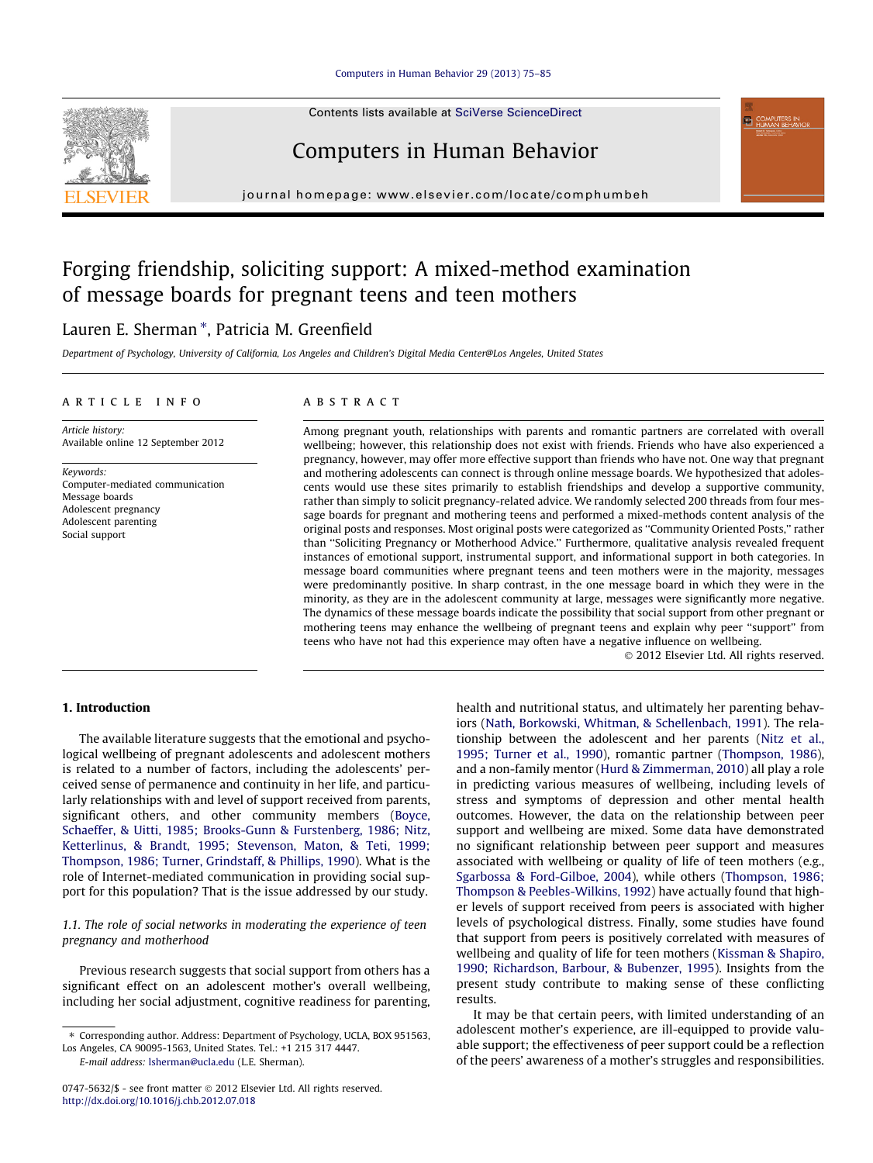## [Computers in Human Behavior 29 \(2013\) 75–85](http://dx.doi.org/10.1016/j.chb.2012.07.018)

Contents lists available at [SciVerse ScienceDirect](http://www.sciencedirect.com/science/journal/07475632)

# Computers in Human Behavior

journal homepage: [www.elsevier.com/locate/comphumbeh](http://www.elsevier.com/locate/comphumbeh)

## Forging friendship, soliciting support: A mixed-method examination of message boards for pregnant teens and teen mothers

## Lauren E. Sherman \*, Patricia M. Greenfield

Department of Psychology, University of California, Los Angeles and Children's Digital Media Center@Los Angeles, United States

## article info

Article history: Available online 12 September 2012

Keywords: Computer-mediated communication Message boards Adolescent pregnancy Adolescent parenting Social support

## ABSTRACT

Among pregnant youth, relationships with parents and romantic partners are correlated with overall wellbeing; however, this relationship does not exist with friends. Friends who have also experienced a pregnancy, however, may offer more effective support than friends who have not. One way that pregnant and mothering adolescents can connect is through online message boards. We hypothesized that adolescents would use these sites primarily to establish friendships and develop a supportive community, rather than simply to solicit pregnancy-related advice. We randomly selected 200 threads from four message boards for pregnant and mothering teens and performed a mixed-methods content analysis of the original posts and responses. Most original posts were categorized as ''Community Oriented Posts,'' rather than ''Soliciting Pregnancy or Motherhood Advice.'' Furthermore, qualitative analysis revealed frequent instances of emotional support, instrumental support, and informational support in both categories. In message board communities where pregnant teens and teen mothers were in the majority, messages were predominantly positive. In sharp contrast, in the one message board in which they were in the minority, as they are in the adolescent community at large, messages were significantly more negative. The dynamics of these message boards indicate the possibility that social support from other pregnant or mothering teens may enhance the wellbeing of pregnant teens and explain why peer ''support'' from teens who have not had this experience may often have a negative influence on wellbeing.

- 2012 Elsevier Ltd. All rights reserved.

## 1. Introduction

The available literature suggests that the emotional and psychological wellbeing of pregnant adolescents and adolescent mothers is related to a number of factors, including the adolescents' perceived sense of permanence and continuity in her life, and particularly relationships with and level of support received from parents, significant others, and other community members ([Boyce,](#page-9-0) [Schaeffer, & Uitti, 1985; Brooks-Gunn & Furstenberg, 1986; Nitz,](#page-9-0) [Ketterlinus, & Brandt, 1995; Stevenson, Maton, & Teti, 1999;](#page-9-0) [Thompson, 1986; Turner, Grindstaff, & Phillips, 1990](#page-9-0)). What is the role of Internet-mediated communication in providing social support for this population? That is the issue addressed by our study.

1.1. The role of social networks in moderating the experience of teen pregnancy and motherhood

Previous research suggests that social support from others has a significant effect on an adolescent mother's overall wellbeing, including her social adjustment, cognitive readiness for parenting,

E-mail address: [lsherman@ucla.edu](mailto:lsherman@ucla.edu) (L.E. Sherman).

health and nutritional status, and ultimately her parenting behaviors [\(Nath, Borkowski, Whitman, & Schellenbach, 1991\)](#page-10-0). The relationship between the adolescent and her parents [\(Nitz et al.,](#page-10-0) [1995; Turner et al., 1990](#page-10-0)), romantic partner [\(Thompson, 1986\)](#page-10-0), and a non-family mentor ([Hurd & Zimmerman, 2010\)](#page-9-0) all play a role in predicting various measures of wellbeing, including levels of stress and symptoms of depression and other mental health outcomes. However, the data on the relationship between peer support and wellbeing are mixed. Some data have demonstrated no significant relationship between peer support and measures associated with wellbeing or quality of life of teen mothers (e.g., [Sgarbossa & Ford-Gilboe, 2004](#page-10-0)), while others [\(Thompson, 1986;](#page-10-0) [Thompson & Peebles-Wilkins, 1992](#page-10-0)) have actually found that higher levels of support received from peers is associated with higher levels of psychological distress. Finally, some studies have found that support from peers is positively correlated with measures of wellbeing and quality of life for teen mothers ([Kissman & Shapiro,](#page-9-0) [1990; Richardson, Barbour, & Bubenzer, 1995\)](#page-9-0). Insights from the present study contribute to making sense of these conflicting results.

It may be that certain peers, with limited understanding of an adolescent mother's experience, are ill-equipped to provide valuable support; the effectiveness of peer support could be a reflection of the peers' awareness of a mother's struggles and responsibilities.



<sup>⇑</sup> Corresponding author. Address: Department of Psychology, UCLA, BOX 951563, Los Angeles, CA 90095-1563, United States. Tel.: +1 215 317 4447.

<sup>0747-5632/\$ -</sup> see front matter © 2012 Elsevier Ltd. All rights reserved. <http://dx.doi.org/10.1016/j.chb.2012.07.018>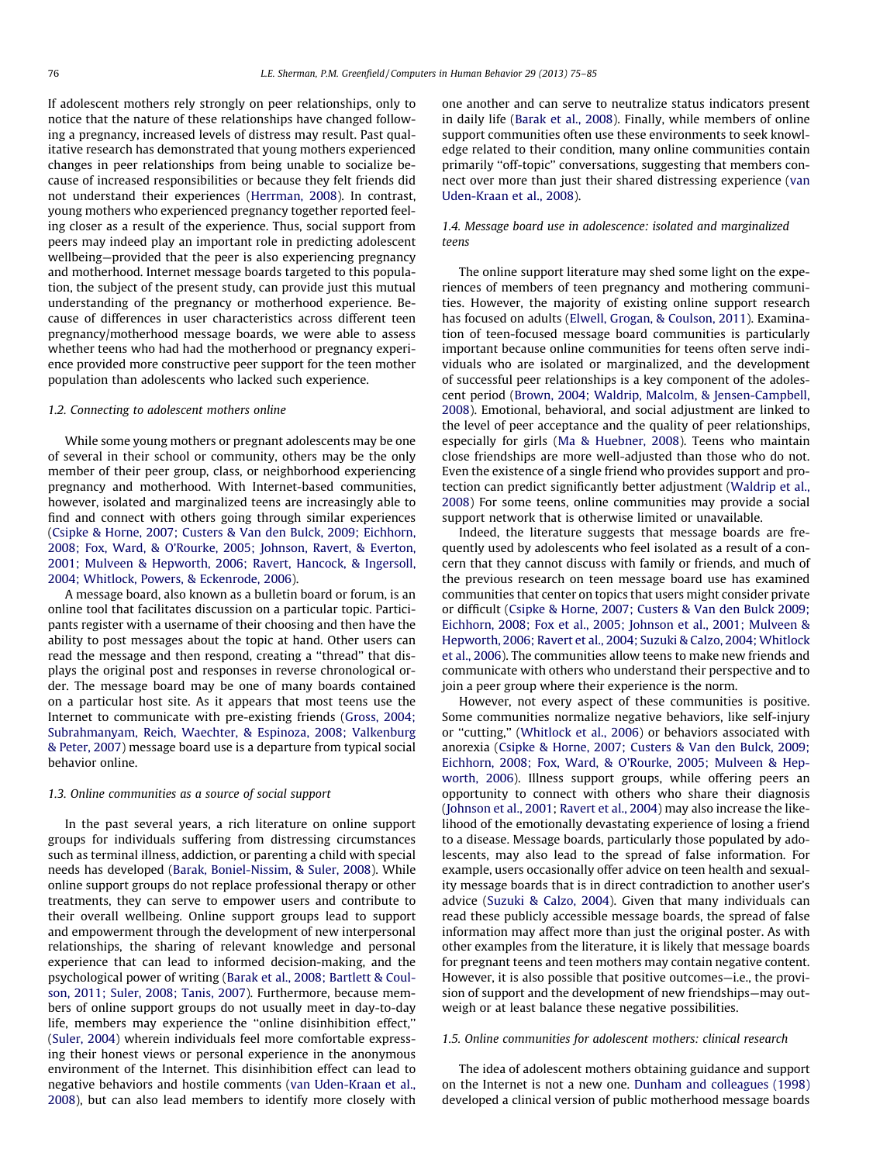If adolescent mothers rely strongly on peer relationships, only to notice that the nature of these relationships have changed following a pregnancy, increased levels of distress may result. Past qualitative research has demonstrated that young mothers experienced changes in peer relationships from being unable to socialize because of increased responsibilities or because they felt friends did not understand their experiences [\(Herrman, 2008](#page-9-0)). In contrast, young mothers who experienced pregnancy together reported feeling closer as a result of the experience. Thus, social support from peers may indeed play an important role in predicting adolescent wellbeing—provided that the peer is also experiencing pregnancy and motherhood. Internet message boards targeted to this population, the subject of the present study, can provide just this mutual understanding of the pregnancy or motherhood experience. Because of differences in user characteristics across different teen pregnancy/motherhood message boards, we were able to assess whether teens who had had the motherhood or pregnancy experience provided more constructive peer support for the teen mother population than adolescents who lacked such experience.

#### 1.2. Connecting to adolescent mothers online

While some young mothers or pregnant adolescents may be one of several in their school or community, others may be the only member of their peer group, class, or neighborhood experiencing pregnancy and motherhood. With Internet-based communities, however, isolated and marginalized teens are increasingly able to find and connect with others going through similar experiences ([Csipke & Horne, 2007; Custers & Van den Bulck, 2009; Eichhorn,](#page-9-0) [2008; Fox, Ward, & O'Rourke, 2005; Johnson, Ravert, & Everton,](#page-9-0) [2001; Mulveen & Hepworth, 2006; Ravert, Hancock, & Ingersoll,](#page-9-0) [2004; Whitlock, Powers, & Eckenrode, 2006](#page-9-0)).

A message board, also known as a bulletin board or forum, is an online tool that facilitates discussion on a particular topic. Participants register with a username of their choosing and then have the ability to post messages about the topic at hand. Other users can read the message and then respond, creating a ''thread'' that displays the original post and responses in reverse chronological order. The message board may be one of many boards contained on a particular host site. As it appears that most teens use the Internet to communicate with pre-existing friends ([Gross, 2004;](#page-9-0) [Subrahmanyam, Reich, Waechter, & Espinoza, 2008; Valkenburg](#page-9-0) [& Peter, 2007\)](#page-9-0) message board use is a departure from typical social behavior online.

#### 1.3. Online communities as a source of social support

In the past several years, a rich literature on online support groups for individuals suffering from distressing circumstances such as terminal illness, addiction, or parenting a child with special needs has developed [\(Barak, Boniel-Nissim, & Suler, 2008](#page-9-0)). While online support groups do not replace professional therapy or other treatments, they can serve to empower users and contribute to their overall wellbeing. Online support groups lead to support and empowerment through the development of new interpersonal relationships, the sharing of relevant knowledge and personal experience that can lead to informed decision-making, and the psychological power of writing ([Barak et al., 2008; Bartlett & Coul](#page-9-0)[son, 2011; Suler, 2008; Tanis, 2007\)](#page-9-0). Furthermore, because members of online support groups do not usually meet in day-to-day life, members may experience the ''online disinhibition effect,'' ([Suler, 2004\)](#page-10-0) wherein individuals feel more comfortable expressing their honest views or personal experience in the anonymous environment of the Internet. This disinhibition effect can lead to negative behaviors and hostile comments [\(van Uden-Kraan et al.,](#page-10-0) [2008\)](#page-10-0), but can also lead members to identify more closely with one another and can serve to neutralize status indicators present in daily life [\(Barak et al., 2008](#page-9-0)). Finally, while members of online support communities often use these environments to seek knowledge related to their condition, many online communities contain primarily ''off-topic'' conversations, suggesting that members connect over more than just their shared distressing experience [\(van](#page-10-0) [Uden-Kraan et al., 2008\)](#page-10-0).

## 1.4. Message board use in adolescence: isolated and marginalized teens

The online support literature may shed some light on the experiences of members of teen pregnancy and mothering communities. However, the majority of existing online support research has focused on adults ([Elwell, Grogan, & Coulson, 2011](#page-9-0)). Examination of teen-focused message board communities is particularly important because online communities for teens often serve individuals who are isolated or marginalized, and the development of successful peer relationships is a key component of the adolescent period [\(Brown, 2004; Waldrip, Malcolm, & Jensen-Campbell,](#page-9-0) [2008\)](#page-9-0). Emotional, behavioral, and social adjustment are linked to the level of peer acceptance and the quality of peer relationships, especially for girls ([Ma & Huebner, 2008\)](#page-9-0). Teens who maintain close friendships are more well-adjusted than those who do not. Even the existence of a single friend who provides support and protection can predict significantly better adjustment ([Waldrip et al.,](#page-10-0) [2008\)](#page-10-0) For some teens, online communities may provide a social support network that is otherwise limited or unavailable.

Indeed, the literature suggests that message boards are frequently used by adolescents who feel isolated as a result of a concern that they cannot discuss with family or friends, and much of the previous research on teen message board use has examined communities that center on topics that users might consider private or difficult [\(Csipke & Horne, 2007; Custers & Van den Bulck 2009;](#page-9-0) [Eichhorn, 2008; Fox et al., 2005; Johnson et al., 2001; Mulveen &](#page-9-0) [Hepworth, 2006; Ravert et al., 2004; Suzuki & Calzo, 2004; Whitlock](#page-9-0) [et al., 2006](#page-9-0)). The communities allow teens to make new friends and communicate with others who understand their perspective and to join a peer group where their experience is the norm.

However, not every aspect of these communities is positive. Some communities normalize negative behaviors, like self-injury or ''cutting,'' [\(Whitlock et al., 2006](#page-10-0)) or behaviors associated with anorexia [\(Csipke & Horne, 2007; Custers & Van den Bulck, 2009;](#page-9-0) [Eichhorn, 2008; Fox, Ward, & O'Rourke, 2005; Mulveen & Hep](#page-9-0)[worth, 2006\)](#page-9-0). Illness support groups, while offering peers an opportunity to connect with others who share their diagnosis ([Johnson et al., 2001](#page-9-0); [Ravert et al., 2004\)](#page-10-0) may also increase the likelihood of the emotionally devastating experience of losing a friend to a disease. Message boards, particularly those populated by adolescents, may also lead to the spread of false information. For example, users occasionally offer advice on teen health and sexuality message boards that is in direct contradiction to another user's advice ([Suzuki & Calzo, 2004\)](#page-10-0). Given that many individuals can read these publicly accessible message boards, the spread of false information may affect more than just the original poster. As with other examples from the literature, it is likely that message boards for pregnant teens and teen mothers may contain negative content. However, it is also possible that positive outcomes—i.e., the provision of support and the development of new friendships—may outweigh or at least balance these negative possibilities.

## 1.5. Online communities for adolescent mothers: clinical research

The idea of adolescent mothers obtaining guidance and support on the Internet is not a new one. [Dunham and colleagues \(1998\)](#page-9-0) developed a clinical version of public motherhood message boards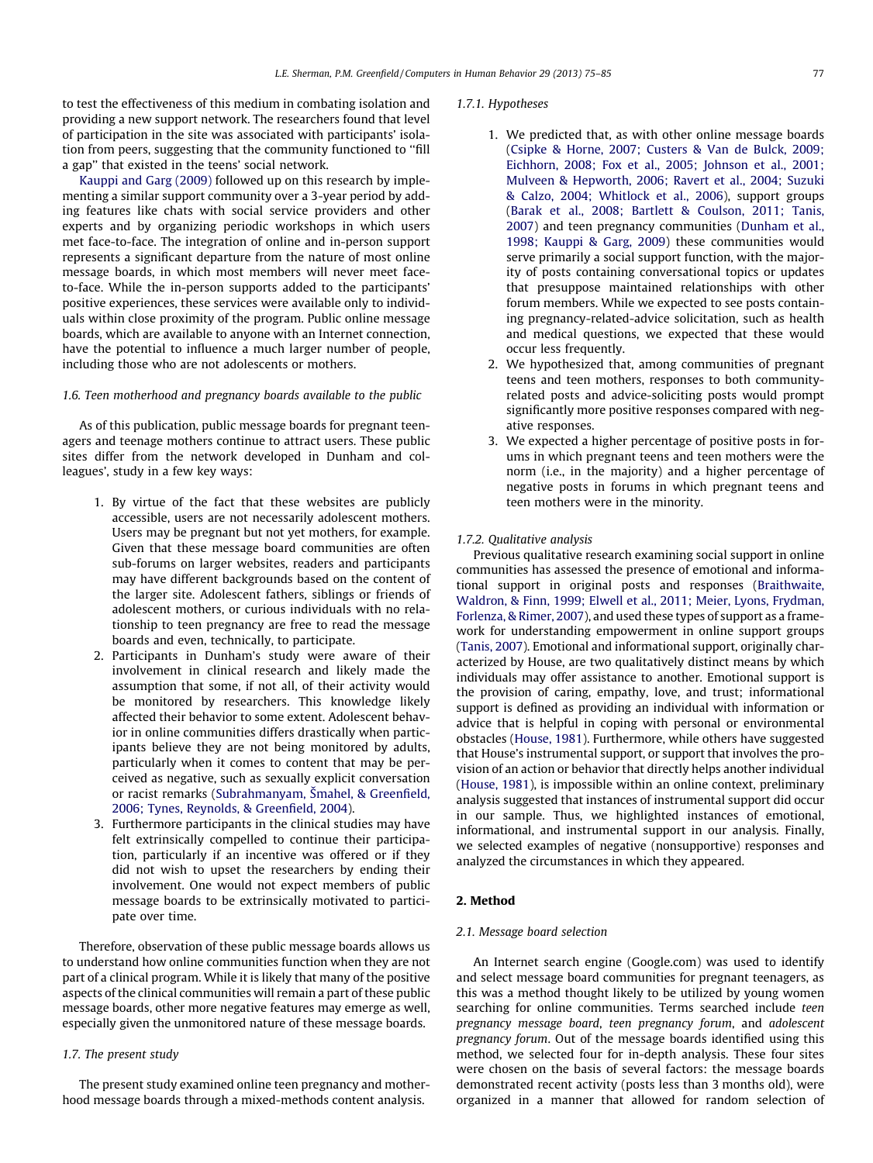to test the effectiveness of this medium in combating isolation and providing a new support network. The researchers found that level of participation in the site was associated with participants' isolation from peers, suggesting that the community functioned to ''fill a gap'' that existed in the teens' social network.

[Kauppi and Garg \(2009\)](#page-9-0) followed up on this research by implementing a similar support community over a 3-year period by adding features like chats with social service providers and other experts and by organizing periodic workshops in which users met face-to-face. The integration of online and in-person support represents a significant departure from the nature of most online message boards, in which most members will never meet faceto-face. While the in-person supports added to the participants' positive experiences, these services were available only to individuals within close proximity of the program. Public online message boards, which are available to anyone with an Internet connection, have the potential to influence a much larger number of people, including those who are not adolescents or mothers.

## 1.6. Teen motherhood and pregnancy boards available to the public

As of this publication, public message boards for pregnant teenagers and teenage mothers continue to attract users. These public sites differ from the network developed in Dunham and colleagues', study in a few key ways:

- 1. By virtue of the fact that these websites are publicly accessible, users are not necessarily adolescent mothers. Users may be pregnant but not yet mothers, for example. Given that these message board communities are often sub-forums on larger websites, readers and participants may have different backgrounds based on the content of the larger site. Adolescent fathers, siblings or friends of adolescent mothers, or curious individuals with no relationship to teen pregnancy are free to read the message boards and even, technically, to participate.
- 2. Participants in Dunham's study were aware of their involvement in clinical research and likely made the assumption that some, if not all, of their activity would be monitored by researchers. This knowledge likely affected their behavior to some extent. Adolescent behavior in online communities differs drastically when participants believe they are not being monitored by adults, particularly when it comes to content that may be perceived as negative, such as sexually explicit conversation or racist remarks [\(Subrahmanyam, Šmahel, & Greenfield,](#page-10-0) [2006; Tynes, Reynolds, & Greenfield, 2004](#page-10-0)).
- 3. Furthermore participants in the clinical studies may have felt extrinsically compelled to continue their participation, particularly if an incentive was offered or if they did not wish to upset the researchers by ending their involvement. One would not expect members of public message boards to be extrinsically motivated to participate over time.

Therefore, observation of these public message boards allows us to understand how online communities function when they are not part of a clinical program. While it is likely that many of the positive aspects of the clinical communities will remain a part of these public message boards, other more negative features may emerge as well, especially given the unmonitored nature of these message boards.

## 1.7. The present study

The present study examined online teen pregnancy and motherhood message boards through a mixed-methods content analysis.

#### 1.7.1. Hypotheses

- 1. We predicted that, as with other online message boards ([Csipke & Horne, 2007; Custers & Van de Bulck, 2009;](#page-9-0) [Eichhorn, 2008; Fox et al., 2005; Johnson et al., 2001;](#page-9-0) [Mulveen & Hepworth, 2006; Ravert et al., 2004; Suzuki](#page-9-0) [& Calzo, 2004; Whitlock et al., 2006\)](#page-9-0), support groups ([Barak et al., 2008; Bartlett & Coulson, 2011; Tanis,](#page-9-0) [2007](#page-9-0)) and teen pregnancy communities ([Dunham et al.,](#page-9-0) [1998; Kauppi & Garg, 2009](#page-9-0)) these communities would serve primarily a social support function, with the majority of posts containing conversational topics or updates that presuppose maintained relationships with other forum members. While we expected to see posts containing pregnancy-related-advice solicitation, such as health and medical questions, we expected that these would occur less frequently.
- 2. We hypothesized that, among communities of pregnant teens and teen mothers, responses to both communityrelated posts and advice-soliciting posts would prompt significantly more positive responses compared with negative responses.
- 3. We expected a higher percentage of positive posts in forums in which pregnant teens and teen mothers were the norm (i.e., in the majority) and a higher percentage of negative posts in forums in which pregnant teens and teen mothers were in the minority.

#### 1.7.2. Qualitative analysis

Previous qualitative research examining social support in online communities has assessed the presence of emotional and informational support in original posts and responses [\(Braithwaite,](#page-9-0) [Waldron, & Finn, 1999; Elwell et al., 2011; Meier, Lyons, Frydman,](#page-9-0) [Forlenza, & Rimer, 2007\)](#page-9-0), and used these types of support as a framework for understanding empowerment in online support groups ([Tanis, 2007\)](#page-10-0). Emotional and informational support, originally characterized by House, are two qualitatively distinct means by which individuals may offer assistance to another. Emotional support is the provision of caring, empathy, love, and trust; informational support is defined as providing an individual with information or advice that is helpful in coping with personal or environmental obstacles [\(House, 1981\)](#page-9-0). Furthermore, while others have suggested that House's instrumental support, or support that involves the provision of an action or behavior that directly helps another individual ([House, 1981](#page-9-0)), is impossible within an online context, preliminary analysis suggested that instances of instrumental support did occur in our sample. Thus, we highlighted instances of emotional, informational, and instrumental support in our analysis. Finally, we selected examples of negative (nonsupportive) responses and analyzed the circumstances in which they appeared.

## 2. Method

#### 2.1. Message board selection

An Internet search engine (Google.com) was used to identify and select message board communities for pregnant teenagers, as this was a method thought likely to be utilized by young women searching for online communities. Terms searched include teen pregnancy message board, teen pregnancy forum, and adolescent pregnancy forum. Out of the message boards identified using this method, we selected four for in-depth analysis. These four sites were chosen on the basis of several factors: the message boards demonstrated recent activity (posts less than 3 months old), were organized in a manner that allowed for random selection of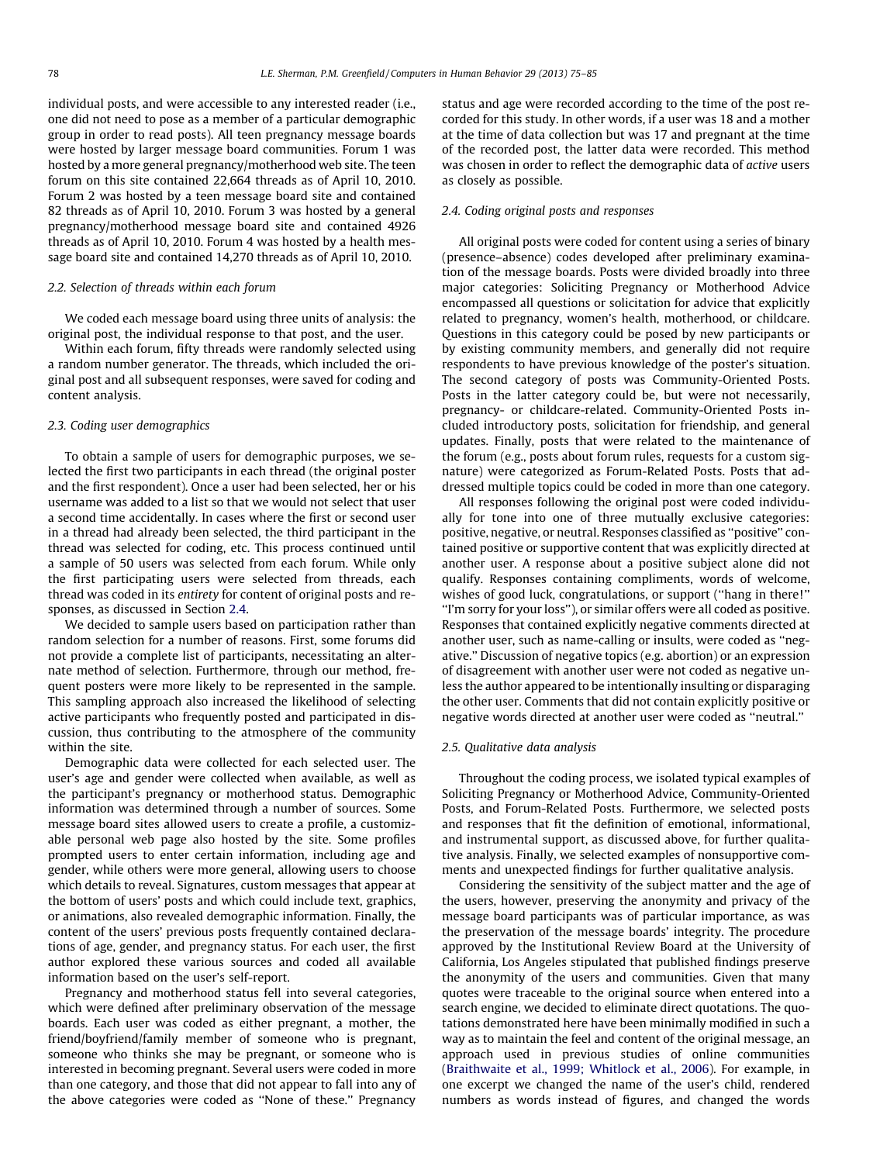individual posts, and were accessible to any interested reader (i.e., one did not need to pose as a member of a particular demographic group in order to read posts). All teen pregnancy message boards were hosted by larger message board communities. Forum 1 was hosted by a more general pregnancy/motherhood web site. The teen forum on this site contained 22,664 threads as of April 10, 2010. Forum 2 was hosted by a teen message board site and contained 82 threads as of April 10, 2010. Forum 3 was hosted by a general pregnancy/motherhood message board site and contained 4926 threads as of April 10, 2010. Forum 4 was hosted by a health message board site and contained 14,270 threads as of April 10, 2010.

## 2.2. Selection of threads within each forum

We coded each message board using three units of analysis: the original post, the individual response to that post, and the user.

Within each forum, fifty threads were randomly selected using a random number generator. The threads, which included the original post and all subsequent responses, were saved for coding and content analysis.

## 2.3. Coding user demographics

To obtain a sample of users for demographic purposes, we selected the first two participants in each thread (the original poster and the first respondent). Once a user had been selected, her or his username was added to a list so that we would not select that user a second time accidentally. In cases where the first or second user in a thread had already been selected, the third participant in the thread was selected for coding, etc. This process continued until a sample of 50 users was selected from each forum. While only the first participating users were selected from threads, each thread was coded in its entirety for content of original posts and responses, as discussed in Section 2.4.

We decided to sample users based on participation rather than random selection for a number of reasons. First, some forums did not provide a complete list of participants, necessitating an alternate method of selection. Furthermore, through our method, frequent posters were more likely to be represented in the sample. This sampling approach also increased the likelihood of selecting active participants who frequently posted and participated in discussion, thus contributing to the atmosphere of the community within the site.

Demographic data were collected for each selected user. The user's age and gender were collected when available, as well as the participant's pregnancy or motherhood status. Demographic information was determined through a number of sources. Some message board sites allowed users to create a profile, a customizable personal web page also hosted by the site. Some profiles prompted users to enter certain information, including age and gender, while others were more general, allowing users to choose which details to reveal. Signatures, custom messages that appear at the bottom of users' posts and which could include text, graphics, or animations, also revealed demographic information. Finally, the content of the users' previous posts frequently contained declarations of age, gender, and pregnancy status. For each user, the first author explored these various sources and coded all available information based on the user's self-report.

Pregnancy and motherhood status fell into several categories, which were defined after preliminary observation of the message boards. Each user was coded as either pregnant, a mother, the friend/boyfriend/family member of someone who is pregnant, someone who thinks she may be pregnant, or someone who is interested in becoming pregnant. Several users were coded in more than one category, and those that did not appear to fall into any of the above categories were coded as ''None of these.'' Pregnancy status and age were recorded according to the time of the post recorded for this study. In other words, if a user was 18 and a mother at the time of data collection but was 17 and pregnant at the time of the recorded post, the latter data were recorded. This method was chosen in order to reflect the demographic data of active users as closely as possible.

### 2.4. Coding original posts and responses

All original posts were coded for content using a series of binary (presence–absence) codes developed after preliminary examination of the message boards. Posts were divided broadly into three major categories: Soliciting Pregnancy or Motherhood Advice encompassed all questions or solicitation for advice that explicitly related to pregnancy, women's health, motherhood, or childcare. Questions in this category could be posed by new participants or by existing community members, and generally did not require respondents to have previous knowledge of the poster's situation. The second category of posts was Community-Oriented Posts. Posts in the latter category could be, but were not necessarily, pregnancy- or childcare-related. Community-Oriented Posts included introductory posts, solicitation for friendship, and general updates. Finally, posts that were related to the maintenance of the forum (e.g., posts about forum rules, requests for a custom signature) were categorized as Forum-Related Posts. Posts that addressed multiple topics could be coded in more than one category.

All responses following the original post were coded individually for tone into one of three mutually exclusive categories: positive, negative, or neutral. Responses classified as ''positive'' contained positive or supportive content that was explicitly directed at another user. A response about a positive subject alone did not qualify. Responses containing compliments, words of welcome, wishes of good luck, congratulations, or support (''hang in there!'' ''I'm sorry for your loss''), or similar offers were all coded as positive. Responses that contained explicitly negative comments directed at another user, such as name-calling or insults, were coded as ''negative.'' Discussion of negative topics (e.g. abortion) or an expression of disagreement with another user were not coded as negative unless the author appeared to be intentionally insulting or disparaging the other user. Comments that did not contain explicitly positive or negative words directed at another user were coded as ''neutral.''

#### 2.5. Qualitative data analysis

Throughout the coding process, we isolated typical examples of Soliciting Pregnancy or Motherhood Advice, Community-Oriented Posts, and Forum-Related Posts. Furthermore, we selected posts and responses that fit the definition of emotional, informational, and instrumental support, as discussed above, for further qualitative analysis. Finally, we selected examples of nonsupportive comments and unexpected findings for further qualitative analysis.

Considering the sensitivity of the subject matter and the age of the users, however, preserving the anonymity and privacy of the message board participants was of particular importance, as was the preservation of the message boards' integrity. The procedure approved by the Institutional Review Board at the University of California, Los Angeles stipulated that published findings preserve the anonymity of the users and communities. Given that many quotes were traceable to the original source when entered into a search engine, we decided to eliminate direct quotations. The quotations demonstrated here have been minimally modified in such a way as to maintain the feel and content of the original message, an approach used in previous studies of online communities ([Braithwaite et al., 1999; Whitlock et al., 2006\)](#page-9-0). For example, in one excerpt we changed the name of the user's child, rendered numbers as words instead of figures, and changed the words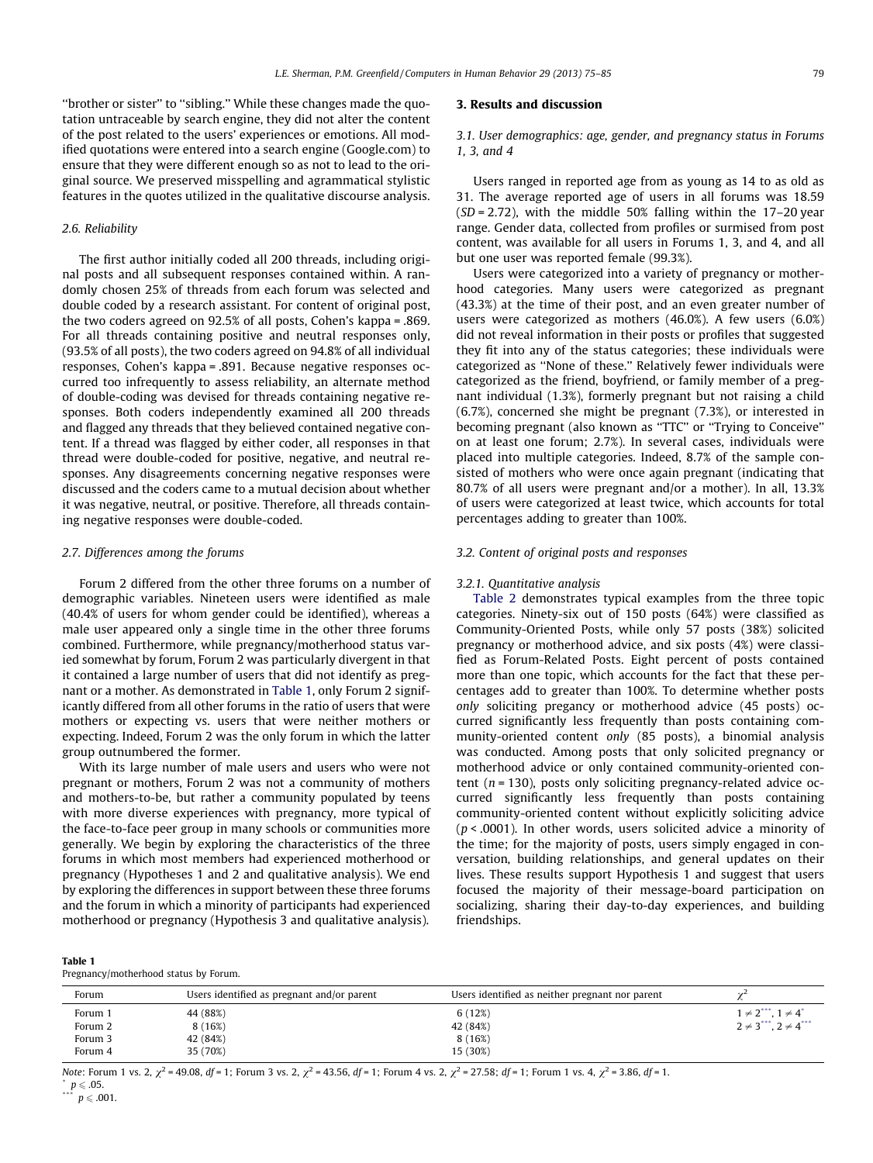''brother or sister'' to ''sibling.'' While these changes made the quotation untraceable by search engine, they did not alter the content of the post related to the users' experiences or emotions. All modified quotations were entered into a search engine (Google.com) to ensure that they were different enough so as not to lead to the original source. We preserved misspelling and agrammatical stylistic features in the quotes utilized in the qualitative discourse analysis.

## 2.6. Reliability

The first author initially coded all 200 threads, including original posts and all subsequent responses contained within. A randomly chosen 25% of threads from each forum was selected and double coded by a research assistant. For content of original post, the two coders agreed on 92.5% of all posts, Cohen's kappa = .869. For all threads containing positive and neutral responses only, (93.5% of all posts), the two coders agreed on 94.8% of all individual responses, Cohen's kappa = .891. Because negative responses occurred too infrequently to assess reliability, an alternate method of double-coding was devised for threads containing negative responses. Both coders independently examined all 200 threads and flagged any threads that they believed contained negative content. If a thread was flagged by either coder, all responses in that thread were double-coded for positive, negative, and neutral responses. Any disagreements concerning negative responses were discussed and the coders came to a mutual decision about whether it was negative, neutral, or positive. Therefore, all threads containing negative responses were double-coded.

### 2.7. Differences among the forums

Forum 2 differed from the other three forums on a number of demographic variables. Nineteen users were identified as male (40.4% of users for whom gender could be identified), whereas a male user appeared only a single time in the other three forums combined. Furthermore, while pregnancy/motherhood status varied somewhat by forum, Forum 2 was particularly divergent in that it contained a large number of users that did not identify as pregnant or a mother. As demonstrated in Table 1, only Forum 2 significantly differed from all other forums in the ratio of users that were mothers or expecting vs. users that were neither mothers or expecting. Indeed, Forum 2 was the only forum in which the latter group outnumbered the former.

With its large number of male users and users who were not pregnant or mothers, Forum 2 was not a community of mothers and mothers-to-be, but rather a community populated by teens with more diverse experiences with pregnancy, more typical of the face-to-face peer group in many schools or communities more generally. We begin by exploring the characteristics of the three forums in which most members had experienced motherhood or pregnancy (Hypotheses 1 and 2 and qualitative analysis). We end by exploring the differences in support between these three forums and the forum in which a minority of participants had experienced motherhood or pregnancy (Hypothesis 3 and qualitative analysis).

## 3. Results and discussion

3.1. User demographics: age, gender, and pregnancy status in Forums 1, 3, and 4

Users ranged in reported age from as young as 14 to as old as 31. The average reported age of users in all forums was 18.59  $(SD = 2.72)$ , with the middle 50% falling within the 17-20 year range. Gender data, collected from profiles or surmised from post content, was available for all users in Forums 1, 3, and 4, and all but one user was reported female (99.3%).

Users were categorized into a variety of pregnancy or motherhood categories. Many users were categorized as pregnant (43.3%) at the time of their post, and an even greater number of users were categorized as mothers (46.0%). A few users (6.0%) did not reveal information in their posts or profiles that suggested they fit into any of the status categories; these individuals were categorized as ''None of these.'' Relatively fewer individuals were categorized as the friend, boyfriend, or family member of a pregnant individual (1.3%), formerly pregnant but not raising a child (6.7%), concerned she might be pregnant (7.3%), or interested in becoming pregnant (also known as ''TTC'' or ''Trying to Conceive'' on at least one forum; 2.7%). In several cases, individuals were placed into multiple categories. Indeed, 8.7% of the sample consisted of mothers who were once again pregnant (indicating that 80.7% of all users were pregnant and/or a mother). In all, 13.3% of users were categorized at least twice, which accounts for total percentages adding to greater than 100%.

#### 3.2. Content of original posts and responses

#### 3.2.1. Quantitative analysis

[Table 2](#page-5-0) demonstrates typical examples from the three topic categories. Ninety-six out of 150 posts (64%) were classified as Community-Oriented Posts, while only 57 posts (38%) solicited pregnancy or motherhood advice, and six posts (4%) were classified as Forum-Related Posts. Eight percent of posts contained more than one topic, which accounts for the fact that these percentages add to greater than 100%. To determine whether posts only soliciting pregancy or motherhood advice (45 posts) occurred significantly less frequently than posts containing community-oriented content only (85 posts), a binomial analysis was conducted. Among posts that only solicited pregnancy or motherhood advice or only contained community-oriented content ( $n = 130$ ), posts only soliciting pregnancy-related advice occurred significantly less frequently than posts containing community-oriented content without explicitly soliciting advice  $(p < .0001)$ . In other words, users solicited advice a minority of the time; for the majority of posts, users simply engaged in conversation, building relationships, and general updates on their lives. These results support Hypothesis 1 and suggest that users focused the majority of their message-board participation on socializing, sharing their day-to-day experiences, and building friendships.

| Table 1                              |  |  |
|--------------------------------------|--|--|
| Pregnancy/motherhood status by Forum |  |  |

| Users identified as pregnant and/or parent | Users identified as neither pregnant nor parent |                                                     |  |  |  |
|--------------------------------------------|-------------------------------------------------|-----------------------------------------------------|--|--|--|
| 44 (88%)                                   | 6(12%)                                          | $1 \neq 2$ <sup>***</sup> , $1 \neq 4$ <sup>*</sup> |  |  |  |
| 8(16%)                                     | 42 (84%)                                        | $2 \neq 3$ ***, $2 \neq 4$ ***                      |  |  |  |
| 42 (84%)                                   | 8 (16%)                                         |                                                     |  |  |  |
| 35 (70%)                                   | 15 (30%)                                        |                                                     |  |  |  |
|                                            |                                                 |                                                     |  |  |  |

Note: Forum 1 vs. 2,  $\chi^2$  = 49.08, df = 1; Forum 3 vs. 2,  $\chi^2$  = 43.56, df = 1; Forum 4 vs. 2,  $\chi^2$  = 27.58; df = 1; Forum 1 vs. 4,  $\chi^2$  = 3.86, df = 1.<br>
\*\*\* n < 001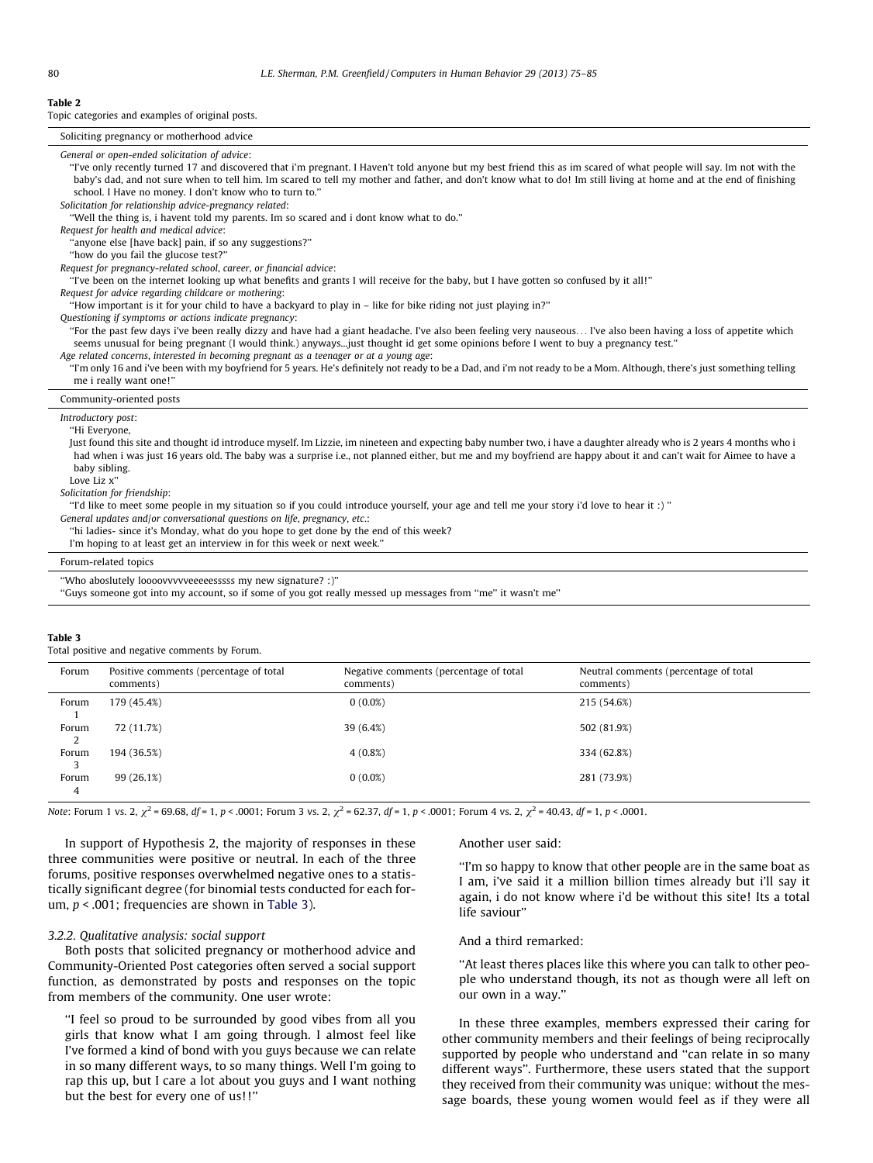#### <span id="page-5-0"></span>Table 2

Topic categories and examples of original posts.

| Soliciting pregnancy or motherhood advice                                                                                                                                                                                                                                                                                                                                                                                                                                                                                                                                                                                                                                                                                                                                                                                                    |
|----------------------------------------------------------------------------------------------------------------------------------------------------------------------------------------------------------------------------------------------------------------------------------------------------------------------------------------------------------------------------------------------------------------------------------------------------------------------------------------------------------------------------------------------------------------------------------------------------------------------------------------------------------------------------------------------------------------------------------------------------------------------------------------------------------------------------------------------|
| General or open-ended solicitation of advice:<br>"I've only recently turned 17 and discovered that i'm pregnant. I Haven't told anyone but my best friend this as im scared of what people will say. Im not with the<br>baby's dad, and not sure when to tell him. Im scared to tell my mother and father, and don't know what to do! Im still living at home and at the end of finishing<br>school. I Have no money. I don't know who to turn to."<br>Solicitation for relationship advice-pregnancy related:                                                                                                                                                                                                                                                                                                                               |
| "Well the thing is, i havent told my parents. Im so scared and i dont know what to do."                                                                                                                                                                                                                                                                                                                                                                                                                                                                                                                                                                                                                                                                                                                                                      |
| Request for health and medical advice:<br>"anyone else [have back] pain, if so any suggestions?"<br>"how do you fail the glucose test?"                                                                                                                                                                                                                                                                                                                                                                                                                                                                                                                                                                                                                                                                                                      |
| Request for pregnancy-related school, career, or financial advice:                                                                                                                                                                                                                                                                                                                                                                                                                                                                                                                                                                                                                                                                                                                                                                           |
| "I've been on the internet looking up what benefits and grants I will receive for the baby, but I have gotten so confused by it all!"<br>Request for advice regarding childcare or mothering:                                                                                                                                                                                                                                                                                                                                                                                                                                                                                                                                                                                                                                                |
| "How important is it for your child to have a backyard to play in – like for bike riding not just playing in?"                                                                                                                                                                                                                                                                                                                                                                                                                                                                                                                                                                                                                                                                                                                               |
| Questioning if symptoms or actions indicate pregnancy:<br>"For the past few days i've been really dizzy and have had a giant headache. I've also been feeling very nauseous I've also been having a loss of appetite which<br>seems unusual for being pregnant (I would think.) anywaysjust thought id get some opinions before I went to buy a pregnancy test."<br>Age related concerns, interested in becoming pregnant as a teenager or at a young age:<br>"I'm only 16 and i've been with my boyfriend for 5 years. He's definitely not ready to be a Dad, and i'm not ready to be a Mom. Although, there's just something telling<br>me i really want one!"                                                                                                                                                                             |
| Community-oriented posts                                                                                                                                                                                                                                                                                                                                                                                                                                                                                                                                                                                                                                                                                                                                                                                                                     |
| Introductory post:<br>"Hi Everyone,<br>Just found this site and thought id introduce myself. Im Lizzie, im nineteen and expecting baby number two, i have a daughter already who is 2 years 4 months who i<br>had when i was just 16 years old. The baby was a surprise i.e., not planned either, but me and my boyfriend are happy about it and can't wait for Aimee to have a<br>baby sibling.<br>Love Liz x"<br>Solicitation for friendship:<br>"I'd like to meet some people in my situation so if you could introduce yourself, your age and tell me your story i'd love to hear it :)"<br>General updates and/or conversational questions on life, pregnancy, etc.:<br>"hi ladies- since it's Monday, what do you hope to get done by the end of this week?<br>I'm hoping to at least get an interview in for this week or next week." |
| Forum-related topics                                                                                                                                                                                                                                                                                                                                                                                                                                                                                                                                                                                                                                                                                                                                                                                                                         |
| "Who aboslutely loooovvyveeeeesssss my new signature? :)"                                                                                                                                                                                                                                                                                                                                                                                                                                                                                                                                                                                                                                                                                                                                                                                    |

''Guys someone got into my account, so if some of you got really messed up messages from ''me'' it wasn't me''

#### Table 3

Total positive and negative comments by Forum.

| Forum      | Positive comments (percentage of total<br>comments) | Negative comments (percentage of total<br>comments) | Neutral comments (percentage of total<br>comments) |
|------------|-----------------------------------------------------|-----------------------------------------------------|----------------------------------------------------|
| Forum      | 179 (45.4%)                                         | $0(0.0\%)$                                          | 215 (54.6%)                                        |
| Forum<br>2 | 72 (11.7%)                                          | 39(6.4%)                                            | 502 (81.9%)                                        |
| Forum<br>3 | 194 (36.5%)                                         | $4(0.8\%)$                                          | 334 (62.8%)                                        |
| Forum<br>4 | 99 (26.1%)                                          | $0(0.0\%)$                                          | 281 (73.9%)                                        |

Note: Forum 1 vs. 2,  $\chi^2$  = 69.68, df = 1, p < .0001; Forum 3 vs. 2,  $\chi^2$  = 62.37, df = 1, p < .0001; Forum 4 vs. 2,  $\chi^2$  = 40.43, df = 1, p < .0001.

In support of Hypothesis 2, the majority of responses in these three communities were positive or neutral. In each of the three forums, positive responses overwhelmed negative ones to a statistically significant degree (for binomial tests conducted for each forum,  $p < .001$ ; frequencies are shown in Table 3).

#### 3.2.2. Qualitative analysis: social support

Both posts that solicited pregnancy or motherhood advice and Community-Oriented Post categories often served a social support function, as demonstrated by posts and responses on the topic from members of the community. One user wrote:

''I feel so proud to be surrounded by good vibes from all you girls that know what I am going through. I almost feel like I've formed a kind of bond with you guys because we can relate in so many different ways, to so many things. Well I'm going to rap this up, but I care a lot about you guys and I want nothing but the best for every one of us!!''

Another user said:

"I'm so happy to know that other people are in the same boat as I am, i've said it a million billion times already but i'll say it again, i do not know where i'd be without this site! Its a total life saviour''

#### And a third remarked:

''At least theres places like this where you can talk to other people who understand though, its not as though were all left on our own in a way.''

In these three examples, members expressed their caring for other community members and their feelings of being reciprocally supported by people who understand and "can relate in so many different ways''. Furthermore, these users stated that the support they received from their community was unique: without the message boards, these young women would feel as if they were all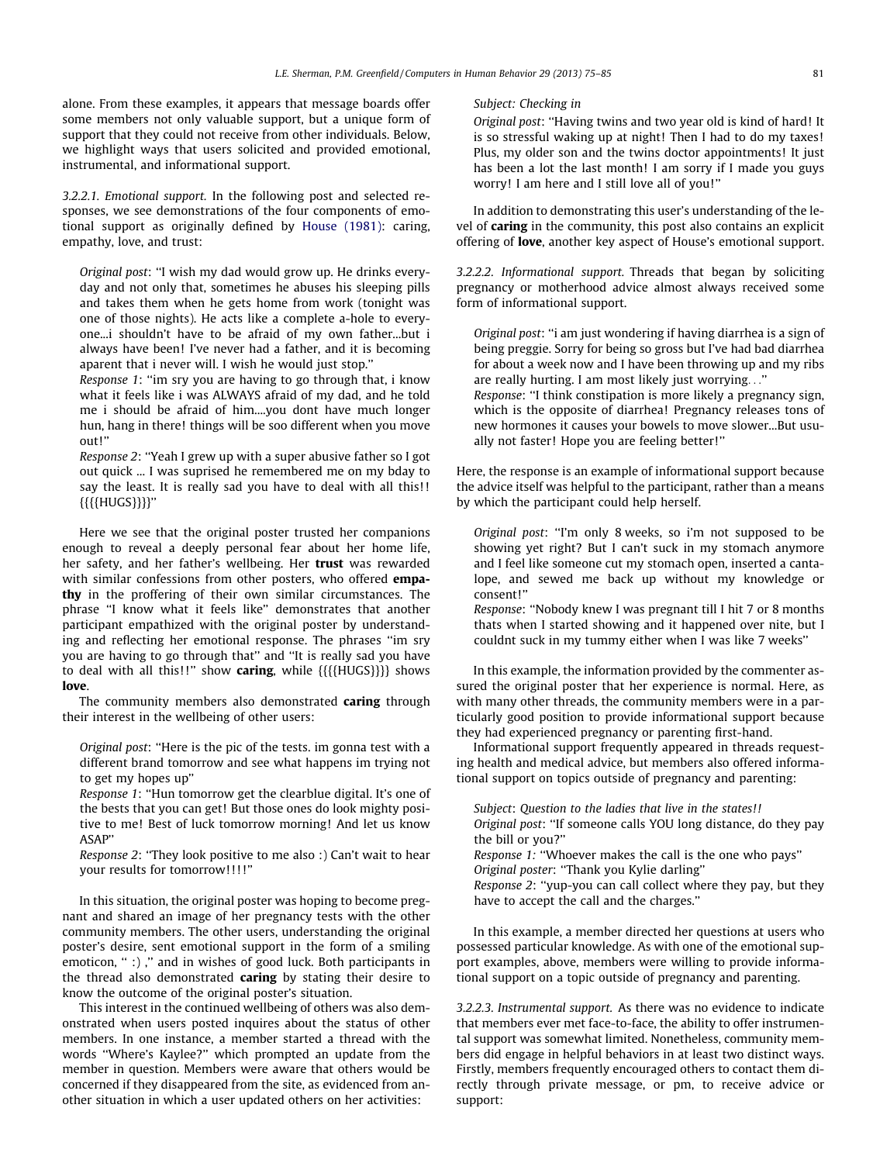alone. From these examples, it appears that message boards offer some members not only valuable support, but a unique form of support that they could not receive from other individuals. Below, we highlight ways that users solicited and provided emotional, instrumental, and informational support.

3.2.2.1. Emotional support. In the following post and selected responses, we see demonstrations of the four components of emotional support as originally defined by [House \(1981\)](#page-9-0): caring, empathy, love, and trust:

Original post: ''I wish my dad would grow up. He drinks everyday and not only that, sometimes he abuses his sleeping pills and takes them when he gets home from work (tonight was one of those nights). He acts like a complete a-hole to everyone...i shouldn't have to be afraid of my own father...but i always have been! I've never had a father, and it is becoming aparent that i never will. I wish he would just stop.''

Response 1: ''im sry you are having to go through that, i know what it feels like i was ALWAYS afraid of my dad, and he told me i should be afraid of him....you dont have much longer hun, hang in there! things will be soo different when you move out!''

Response 2: ''Yeah I grew up with a super abusive father so I got out quick ... I was suprised he remembered me on my bday to say the least. It is really sad you have to deal with all this!! {{{{HUGS}}}}''

Here we see that the original poster trusted her companions enough to reveal a deeply personal fear about her home life, her safety, and her father's wellbeing. Her trust was rewarded with similar confessions from other posters, who offered **empa**thy in the proffering of their own similar circumstances. The phrase ''I know what it feels like'' demonstrates that another participant empathized with the original poster by understanding and reflecting her emotional response. The phrases ''im sry you are having to go through that'' and ''It is really sad you have to deal with all this!!" show caring, while  ${({{\{HUGS\}}\})}$  shows love.

The community members also demonstrated **caring** through their interest in the wellbeing of other users:

Original post: ''Here is the pic of the tests. im gonna test with a different brand tomorrow and see what happens im trying not to get my hopes up''

Response 1: ''Hun tomorrow get the clearblue digital. It's one of the bests that you can get! But those ones do look mighty positive to me! Best of luck tomorrow morning! And let us know ASAP''

Response 2: ''They look positive to me also :) Can't wait to hear your results for tomorrow!!!!''

In this situation, the original poster was hoping to become pregnant and shared an image of her pregnancy tests with the other community members. The other users, understanding the original poster's desire, sent emotional support in the form of a smiling emoticon, " :)," and in wishes of good luck. Both participants in the thread also demonstrated **caring** by stating their desire to know the outcome of the original poster's situation.

This interest in the continued wellbeing of others was also demonstrated when users posted inquires about the status of other members. In one instance, a member started a thread with the words ''Where's Kaylee?'' which prompted an update from the member in question. Members were aware that others would be concerned if they disappeared from the site, as evidenced from another situation in which a user updated others on her activities:

## Subject: Checking in

Original post: ''Having twins and two year old is kind of hard! It is so stressful waking up at night! Then I had to do my taxes! Plus, my older son and the twins doctor appointments! It just has been a lot the last month! I am sorry if I made you guys worry! I am here and I still love all of you!''

In addition to demonstrating this user's understanding of the level of caring in the community, this post also contains an explicit offering of love, another key aspect of House's emotional support.

3.2.2.2. Informational support. Threads that began by soliciting pregnancy or motherhood advice almost always received some form of informational support.

Original post: ''i am just wondering if having diarrhea is a sign of being preggie. Sorry for being so gross but I've had bad diarrhea for about a week now and I have been throwing up and my ribs are really hurting. I am most likely just worrying...''

Response: ''I think constipation is more likely a pregnancy sign, which is the opposite of diarrhea! Pregnancy releases tons of new hormones it causes your bowels to move slower...But usually not faster! Hope you are feeling better!''

Here, the response is an example of informational support because the advice itself was helpful to the participant, rather than a means by which the participant could help herself.

Original post: ''I'm only 8 weeks, so i'm not supposed to be showing yet right? But I can't suck in my stomach anymore and I feel like someone cut my stomach open, inserted a cantalope, and sewed me back up without my knowledge or consent!''

Response: ''Nobody knew I was pregnant till I hit 7 or 8 months thats when I started showing and it happened over nite, but I couldnt suck in my tummy either when I was like 7 weeks''

In this example, the information provided by the commenter assured the original poster that her experience is normal. Here, as with many other threads, the community members were in a particularly good position to provide informational support because they had experienced pregnancy or parenting first-hand.

Informational support frequently appeared in threads requesting health and medical advice, but members also offered informational support on topics outside of pregnancy and parenting:

Subject: Question to the ladies that live in the states!! Original post: ''If someone calls YOU long distance, do they pay the bill or you?'' Response 1: ''Whoever makes the call is the one who pays'' Original poster: ''Thank you Kylie darling'' Response 2: ''yup-you can call collect where they pay, but they have to accept the call and the charges.''

In this example, a member directed her questions at users who possessed particular knowledge. As with one of the emotional support examples, above, members were willing to provide informational support on a topic outside of pregnancy and parenting.

3.2.2.3. Instrumental support. As there was no evidence to indicate that members ever met face-to-face, the ability to offer instrumental support was somewhat limited. Nonetheless, community members did engage in helpful behaviors in at least two distinct ways. Firstly, members frequently encouraged others to contact them directly through private message, or pm, to receive advice or support: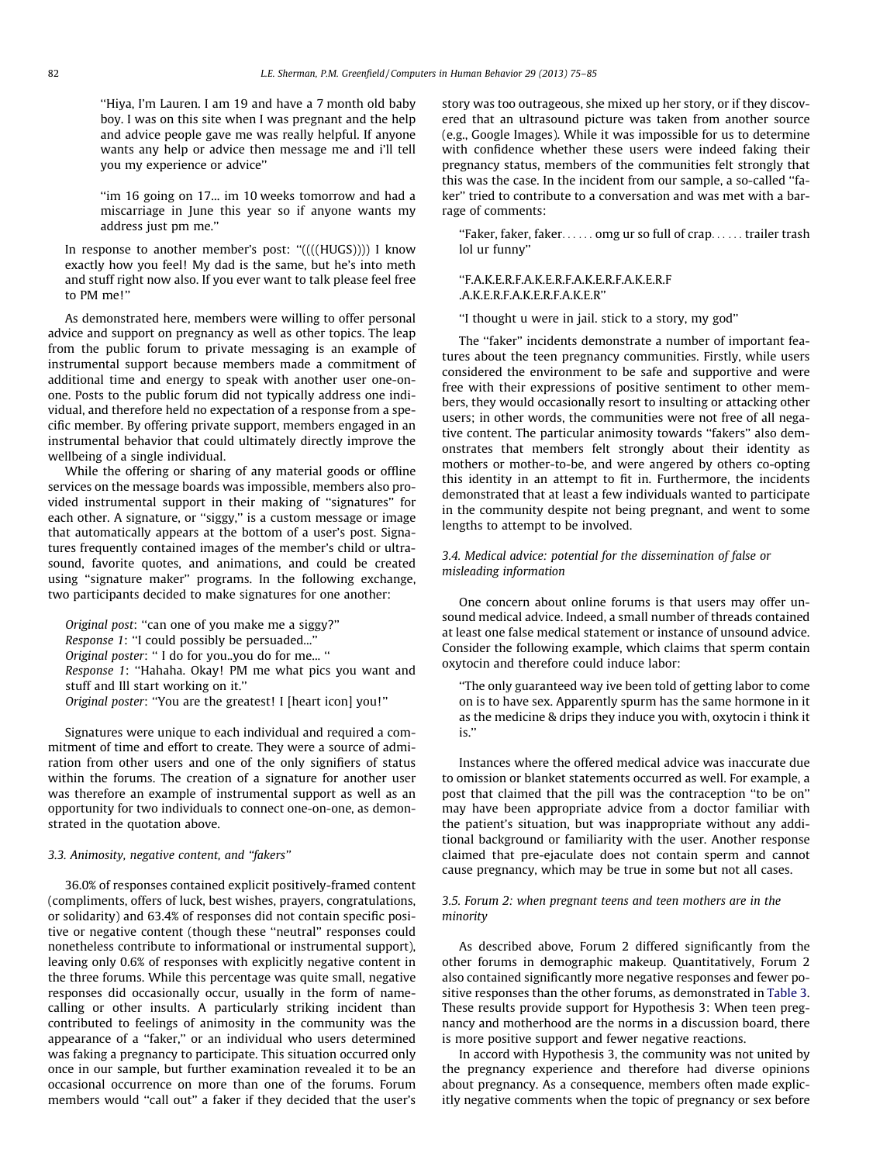<span id="page-7-0"></span>''Hiya, I'm Lauren. I am 19 and have a 7 month old baby boy. I was on this site when I was pregnant and the help and advice people gave me was really helpful. If anyone wants any help or advice then message me and i'll tell you my experience or advice''

''im 16 going on 17... im 10 weeks tomorrow and had a miscarriage in June this year so if anyone wants my address just pm me.''

In response to another member's post: " $(((HUGS))))$  I know exactly how you feel! My dad is the same, but he's into meth and stuff right now also. If you ever want to talk please feel free to PM me!''

As demonstrated here, members were willing to offer personal advice and support on pregnancy as well as other topics. The leap from the public forum to private messaging is an example of instrumental support because members made a commitment of additional time and energy to speak with another user one-onone. Posts to the public forum did not typically address one individual, and therefore held no expectation of a response from a specific member. By offering private support, members engaged in an instrumental behavior that could ultimately directly improve the wellbeing of a single individual.

While the offering or sharing of any material goods or offline services on the message boards was impossible, members also provided instrumental support in their making of ''signatures'' for each other. A signature, or ''siggy,'' is a custom message or image that automatically appears at the bottom of a user's post. Signatures frequently contained images of the member's child or ultrasound, favorite quotes, and animations, and could be created using ''signature maker'' programs. In the following exchange, two participants decided to make signatures for one another:

Original post: ''can one of you make me a siggy?'' Response 1: ''I could possibly be persuaded...'' Original poster: '' I do for you..you do for me... '' Response 1: ''Hahaha. Okay! PM me what pics you want and stuff and Ill start working on it.'' Original poster: ''You are the greatest! I [heart icon] you!''

Signatures were unique to each individual and required a commitment of time and effort to create. They were a source of admiration from other users and one of the only signifiers of status within the forums. The creation of a signature for another user was therefore an example of instrumental support as well as an opportunity for two individuals to connect one-on-one, as demonstrated in the quotation above.

## 3.3. Animosity, negative content, and ''fakers''

36.0% of responses contained explicit positively-framed content (compliments, offers of luck, best wishes, prayers, congratulations, or solidarity) and 63.4% of responses did not contain specific positive or negative content (though these ''neutral'' responses could nonetheless contribute to informational or instrumental support), leaving only 0.6% of responses with explicitly negative content in the three forums. While this percentage was quite small, negative responses did occasionally occur, usually in the form of namecalling or other insults. A particularly striking incident than contributed to feelings of animosity in the community was the appearance of a ''faker,'' or an individual who users determined was faking a pregnancy to participate. This situation occurred only once in our sample, but further examination revealed it to be an occasional occurrence on more than one of the forums. Forum members would "call out" a faker if they decided that the user's

story was too outrageous, she mixed up her story, or if they discovered that an ultrasound picture was taken from another source (e.g., Google Images). While it was impossible for us to determine with confidence whether these users were indeed faking their pregnancy status, members of the communities felt strongly that this was the case. In the incident from our sample, a so-called ''faker'' tried to contribute to a conversation and was met with a barrage of comments:

''Faker, faker, faker...... omg ur so full of crap...... trailer trash lol ur funny''

## ''F.A.K.E.R.F.A.K.E.R.F.A.K.E.R.F.A.K.E.R.F .A.K.E.R.F.A.K.E.R.F.A.K.E.R''

''I thought u were in jail. stick to a story, my god''

The ''faker'' incidents demonstrate a number of important features about the teen pregnancy communities. Firstly, while users considered the environment to be safe and supportive and were free with their expressions of positive sentiment to other members, they would occasionally resort to insulting or attacking other users; in other words, the communities were not free of all negative content. The particular animosity towards ''fakers'' also demonstrates that members felt strongly about their identity as mothers or mother-to-be, and were angered by others co-opting this identity in an attempt to fit in. Furthermore, the incidents demonstrated that at least a few individuals wanted to participate in the community despite not being pregnant, and went to some lengths to attempt to be involved.

## 3.4. Medical advice: potential for the dissemination of false or misleading information

One concern about online forums is that users may offer unsound medical advice. Indeed, a small number of threads contained at least one false medical statement or instance of unsound advice. Consider the following example, which claims that sperm contain oxytocin and therefore could induce labor:

''The only guaranteed way ive been told of getting labor to come on is to have sex. Apparently spurm has the same hormone in it as the medicine & drips they induce you with, oxytocin i think it is.''

Instances where the offered medical advice was inaccurate due to omission or blanket statements occurred as well. For example, a post that claimed that the pill was the contraception ''to be on'' may have been appropriate advice from a doctor familiar with the patient's situation, but was inappropriate without any additional background or familiarity with the user. Another response claimed that pre-ejaculate does not contain sperm and cannot cause pregnancy, which may be true in some but not all cases.

## 3.5. Forum 2: when pregnant teens and teen mothers are in the minority

As described above, Forum 2 differed significantly from the other forums in demographic makeup. Quantitatively, Forum 2 also contained significantly more negative responses and fewer positive responses than the other forums, as demonstrated in [Table 3.](#page-5-0) These results provide support for Hypothesis 3: When teen pregnancy and motherhood are the norms in a discussion board, there is more positive support and fewer negative reactions.

In accord with Hypothesis 3, the community was not united by the pregnancy experience and therefore had diverse opinions about pregnancy. As a consequence, members often made explicitly negative comments when the topic of pregnancy or sex before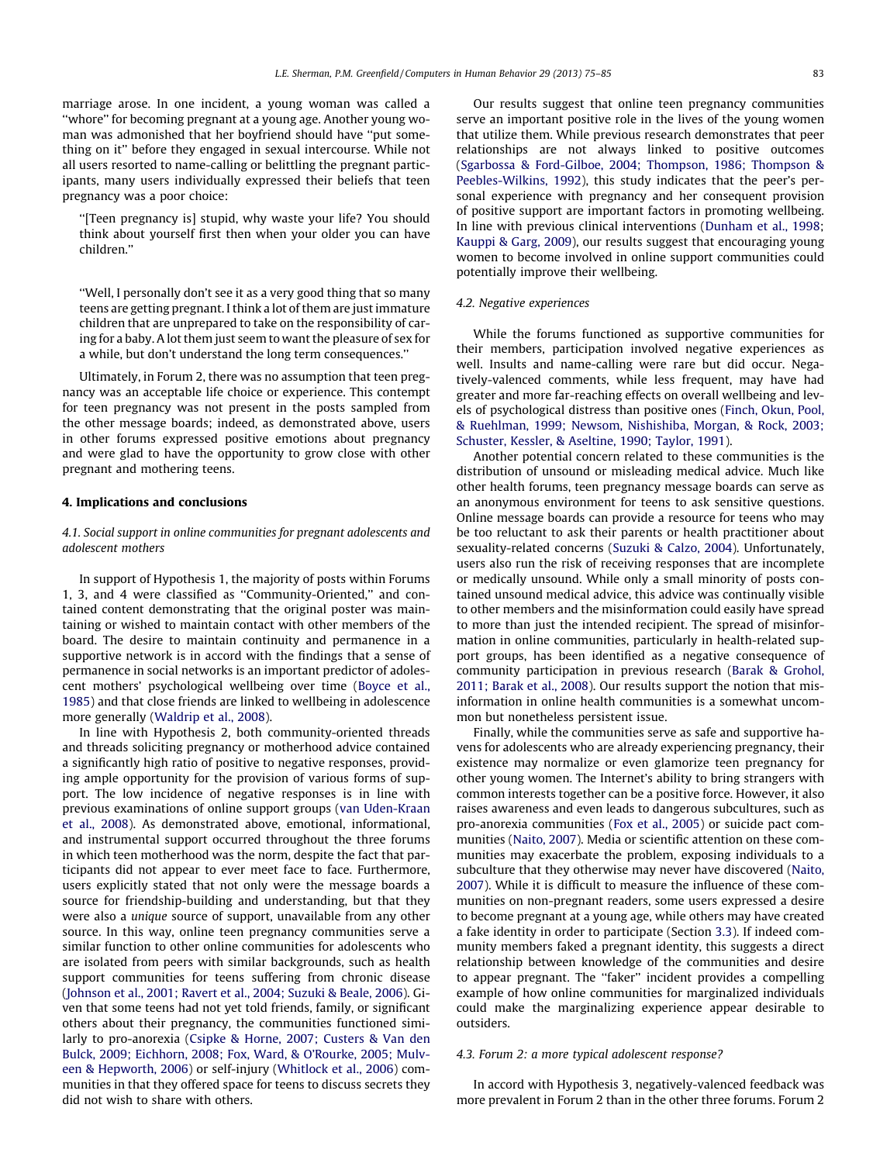marriage arose. In one incident, a young woman was called a ''whore'' for becoming pregnant at a young age. Another young woman was admonished that her boyfriend should have ''put something on it'' before they engaged in sexual intercourse. While not all users resorted to name-calling or belittling the pregnant participants, many users individually expressed their beliefs that teen pregnancy was a poor choice:

"[Teen pregnancy is] stupid, why waste your life? You should think about yourself first then when your older you can have children.''

''Well, I personally don't see it as a very good thing that so many teens are getting pregnant. I think a lot of them are just immature children that are unprepared to take on the responsibility of caring for a baby. A lot them just seem to want the pleasure of sex for a while, but don't understand the long term consequences.''

Ultimately, in Forum 2, there was no assumption that teen pregnancy was an acceptable life choice or experience. This contempt for teen pregnancy was not present in the posts sampled from the other message boards; indeed, as demonstrated above, users in other forums expressed positive emotions about pregnancy and were glad to have the opportunity to grow close with other pregnant and mothering teens.

### 4. Implications and conclusions

## 4.1. Social support in online communities for pregnant adolescents and adolescent mothers

In support of Hypothesis 1, the majority of posts within Forums 1, 3, and 4 were classified as ''Community-Oriented,'' and contained content demonstrating that the original poster was maintaining or wished to maintain contact with other members of the board. The desire to maintain continuity and permanence in a supportive network is in accord with the findings that a sense of permanence in social networks is an important predictor of adolescent mothers' psychological wellbeing over time [\(Boyce et al.,](#page-9-0) [1985\)](#page-9-0) and that close friends are linked to wellbeing in adolescence more generally ([Waldrip et al., 2008\)](#page-10-0).

In line with Hypothesis 2, both community-oriented threads and threads soliciting pregnancy or motherhood advice contained a significantly high ratio of positive to negative responses, providing ample opportunity for the provision of various forms of support. The low incidence of negative responses is in line with previous examinations of online support groups ([van Uden-Kraan](#page-10-0) [et al., 2008\)](#page-10-0). As demonstrated above, emotional, informational, and instrumental support occurred throughout the three forums in which teen motherhood was the norm, despite the fact that participants did not appear to ever meet face to face. Furthermore, users explicitly stated that not only were the message boards a source for friendship-building and understanding, but that they were also a unique source of support, unavailable from any other source. In this way, online teen pregnancy communities serve a similar function to other online communities for adolescents who are isolated from peers with similar backgrounds, such as health support communities for teens suffering from chronic disease ([Johnson et al., 2001; Ravert et al., 2004; Suzuki & Beale, 2006\)](#page-9-0). Given that some teens had not yet told friends, family, or significant others about their pregnancy, the communities functioned similarly to pro-anorexia [\(Csipke & Horne, 2007; Custers & Van den](#page-9-0) [Bulck, 2009; Eichhorn, 2008; Fox, Ward, & O'Rourke, 2005; Mulv](#page-9-0)[een & Hepworth, 2006](#page-9-0)) or self-injury [\(Whitlock et al., 2006\)](#page-10-0) communities in that they offered space for teens to discuss secrets they did not wish to share with others.

Our results suggest that online teen pregnancy communities serve an important positive role in the lives of the young women that utilize them. While previous research demonstrates that peer relationships are not always linked to positive outcomes ([Sgarbossa & Ford-Gilboe, 2004; Thompson, 1986; Thompson &](#page-10-0) [Peebles-Wilkins, 1992\)](#page-10-0), this study indicates that the peer's personal experience with pregnancy and her consequent provision of positive support are important factors in promoting wellbeing. In line with previous clinical interventions [\(Dunham et al., 1998;](#page-9-0) [Kauppi & Garg, 2009](#page-9-0)), our results suggest that encouraging young women to become involved in online support communities could potentially improve their wellbeing.

## 4.2. Negative experiences

While the forums functioned as supportive communities for their members, participation involved negative experiences as well. Insults and name-calling were rare but did occur. Negatively-valenced comments, while less frequent, may have had greater and more far-reaching effects on overall wellbeing and levels of psychological distress than positive ones ([Finch, Okun, Pool,](#page-9-0) [& Ruehlman, 1999; Newsom, Nishishiba, Morgan, & Rock, 2003;](#page-9-0) [Schuster, Kessler, & Aseltine, 1990; Taylor, 1991\)](#page-9-0).

Another potential concern related to these communities is the distribution of unsound or misleading medical advice. Much like other health forums, teen pregnancy message boards can serve as an anonymous environment for teens to ask sensitive questions. Online message boards can provide a resource for teens who may be too reluctant to ask their parents or health practitioner about sexuality-related concerns [\(Suzuki & Calzo, 2004\)](#page-10-0). Unfortunately, users also run the risk of receiving responses that are incomplete or medically unsound. While only a small minority of posts contained unsound medical advice, this advice was continually visible to other members and the misinformation could easily have spread to more than just the intended recipient. The spread of misinformation in online communities, particularly in health-related support groups, has been identified as a negative consequence of community participation in previous research ([Barak & Grohol,](#page-9-0) [2011; Barak et al., 2008\)](#page-9-0). Our results support the notion that misinformation in online health communities is a somewhat uncommon but nonetheless persistent issue.

Finally, while the communities serve as safe and supportive havens for adolescents who are already experiencing pregnancy, their existence may normalize or even glamorize teen pregnancy for other young women. The Internet's ability to bring strangers with common interests together can be a positive force. However, it also raises awareness and even leads to dangerous subcultures, such as pro-anorexia communities ([Fox et al., 2005\)](#page-9-0) or suicide pact communities [\(Naito, 2007](#page-10-0)). Media or scientific attention on these communities may exacerbate the problem, exposing individuals to a subculture that they otherwise may never have discovered [\(Naito,](#page-10-0) [2007](#page-10-0)). While it is difficult to measure the influence of these communities on non-pregnant readers, some users expressed a desire to become pregnant at a young age, while others may have created a fake identity in order to participate (Section [3.3\)](#page-7-0). If indeed community members faked a pregnant identity, this suggests a direct relationship between knowledge of the communities and desire to appear pregnant. The ''faker'' incident provides a compelling example of how online communities for marginalized individuals could make the marginalizing experience appear desirable to outsiders.

#### 4.3. Forum 2: a more typical adolescent response?

In accord with Hypothesis 3, negatively-valenced feedback was more prevalent in Forum 2 than in the other three forums. Forum 2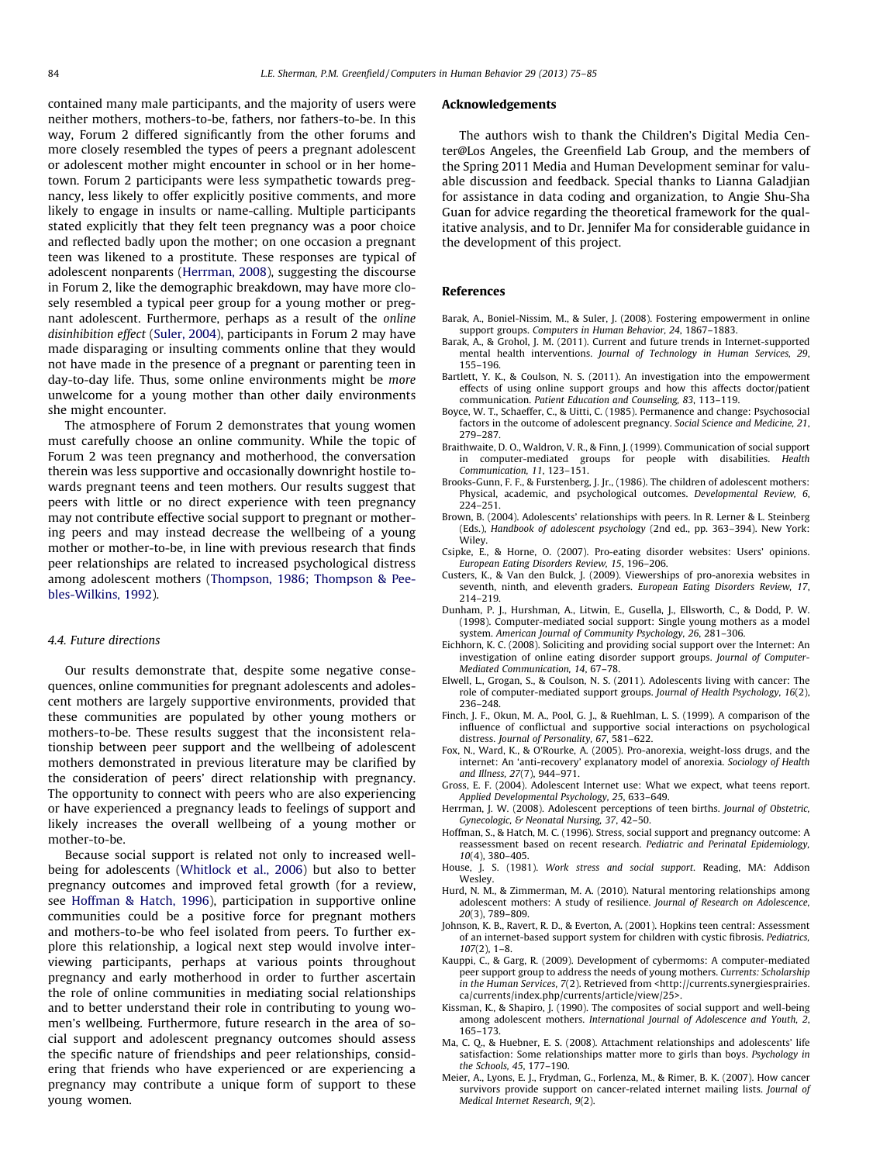<span id="page-9-0"></span>contained many male participants, and the majority of users were neither mothers, mothers-to-be, fathers, nor fathers-to-be. In this way, Forum 2 differed significantly from the other forums and more closely resembled the types of peers a pregnant adolescent or adolescent mother might encounter in school or in her hometown. Forum 2 participants were less sympathetic towards pregnancy, less likely to offer explicitly positive comments, and more likely to engage in insults or name-calling. Multiple participants stated explicitly that they felt teen pregnancy was a poor choice and reflected badly upon the mother; on one occasion a pregnant teen was likened to a prostitute. These responses are typical of adolescent nonparents (Herrman, 2008), suggesting the discourse in Forum 2, like the demographic breakdown, may have more closely resembled a typical peer group for a young mother or pregnant adolescent. Furthermore, perhaps as a result of the online disinhibition effect [\(Suler, 2004\)](#page-10-0), participants in Forum 2 may have made disparaging or insulting comments online that they would not have made in the presence of a pregnant or parenting teen in day-to-day life. Thus, some online environments might be more unwelcome for a young mother than other daily environments she might encounter.

The atmosphere of Forum 2 demonstrates that young women must carefully choose an online community. While the topic of Forum 2 was teen pregnancy and motherhood, the conversation therein was less supportive and occasionally downright hostile towards pregnant teens and teen mothers. Our results suggest that peers with little or no direct experience with teen pregnancy may not contribute effective social support to pregnant or mothering peers and may instead decrease the wellbeing of a young mother or mother-to-be, in line with previous research that finds peer relationships are related to increased psychological distress among adolescent mothers ([Thompson, 1986; Thompson & Pee](#page-10-0)[bles-Wilkins, 1992\)](#page-10-0).

#### 4.4. Future directions

Our results demonstrate that, despite some negative consequences, online communities for pregnant adolescents and adolescent mothers are largely supportive environments, provided that these communities are populated by other young mothers or mothers-to-be. These results suggest that the inconsistent relationship between peer support and the wellbeing of adolescent mothers demonstrated in previous literature may be clarified by the consideration of peers' direct relationship with pregnancy. The opportunity to connect with peers who are also experiencing or have experienced a pregnancy leads to feelings of support and likely increases the overall wellbeing of a young mother or mother-to-be.

Because social support is related not only to increased wellbeing for adolescents [\(Whitlock et al., 2006\)](#page-10-0) but also to better pregnancy outcomes and improved fetal growth (for a review, see Hoffman & Hatch, 1996), participation in supportive online communities could be a positive force for pregnant mothers and mothers-to-be who feel isolated from peers. To further explore this relationship, a logical next step would involve interviewing participants, perhaps at various points throughout pregnancy and early motherhood in order to further ascertain the role of online communities in mediating social relationships and to better understand their role in contributing to young women's wellbeing. Furthermore, future research in the area of social support and adolescent pregnancy outcomes should assess the specific nature of friendships and peer relationships, considering that friends who have experienced or are experiencing a pregnancy may contribute a unique form of support to these young women.

## Acknowledgements

The authors wish to thank the Children's Digital Media Center@Los Angeles, the Greenfield Lab Group, and the members of the Spring 2011 Media and Human Development seminar for valuable discussion and feedback. Special thanks to Lianna Galadjian for assistance in data coding and organization, to Angie Shu-Sha Guan for advice regarding the theoretical framework for the qualitative analysis, and to Dr. Jennifer Ma for considerable guidance in the development of this project.

#### References

- Barak, A., Boniel-Nissim, M., & Suler, J. (2008). Fostering empowerment in online support groups. Computers in Human Behavior, 24, 1867–1883.
- Barak, A., & Grohol, J. M. (2011). Current and future trends in Internet-supported mental health interventions. Journal of Technology in Human Services, 29, 155–196.
- Bartlett, Y. K., & Coulson, N. S. (2011). An investigation into the empowerment effects of using online support groups and how this affects doctor/patient communication. Patient Education and Counseling, 83, 113–119.
- Boyce, W. T., Schaeffer, C., & Uitti, C. (1985). Permanence and change: Psychosocial factors in the outcome of adolescent pregnancy. Social Science and Medicine, 21, 279–287.
- Braithwaite, D. O., Waldron, V. R., & Finn, J. (1999). Communication of social support in computer-mediated groups for people with disabilities. Health Communication, 11, 123–151.
- Brooks-Gunn, F. F., & Furstenberg, J. Jr., (1986). The children of adolescent mothers: Physical, academic, and psychological outcomes. Developmental Review, 6, 224–251.
- Brown, B. (2004). Adolescents' relationships with peers. In R. Lerner & L. Steinberg (Eds.), Handbook of adolescent psychology (2nd ed., pp. 363–394). New York: Wiley.
- Csipke, E., & Horne, O. (2007). Pro-eating disorder websites: Users' opinions. European Eating Disorders Review, 15, 196–206.
- Custers, K., & Van den Bulck, J. (2009). Viewerships of pro-anorexia websites in seventh, ninth, and eleventh graders. European Eating Disorders Review, 17, 214–219.
- Dunham, P. J., Hurshman, A., Litwin, E., Gusella, J., Ellsworth, C., & Dodd, P. W. (1998). Computer-mediated social support: Single young mothers as a model system. American Journal of Community Psychology, 26, 281–306.
- Eichhorn, K. C. (2008). Soliciting and providing social support over the Internet: An investigation of online eating disorder support groups. Journal of Computer-Mediated Communication, 14, 67–78.
- Elwell, L., Grogan, S., & Coulson, N. S. (2011). Adolescents living with cancer: The role of computer-mediated support groups. Journal of Health Psychology, 16(2), 236–248.
- Finch, J. F., Okun, M. A., Pool, G. J., & Ruehlman, L. S. (1999). A comparison of the influence of conflictual and supportive social interactions on psychological distress. Journal of Personality, 67, 581–622.
- Fox, N., Ward, K., & O'Rourke, A. (2005). Pro-anorexia, weight-loss drugs, and the internet: An 'anti-recovery' explanatory model of anorexia. Sociology of Health and Illness, 27(7), 944–971.
- Gross, E. F. (2004). Adolescent Internet use: What we expect, what teens report. Applied Developmental Psychology, 25, 633–649.
- Herrman, J. W. (2008). Adolescent perceptions of teen births. Journal of Obstetric, Gynecologic, & Neonatal Nursing, 37, 42–50.
- Hoffman, S., & Hatch, M. C. (1996). Stress, social support and pregnancy outcome: A reassessment based on recent research. Pediatric and Perinatal Epidemiology, 10(4), 380–405.
- House, J. S. (1981). Work stress and social support. Reading, MA: Addison Wesley.
- Hurd, N. M., & Zimmerman, M. A. (2010). Natural mentoring relationships among adolescent mothers: A study of resilience. Journal of Research on Adolescence, 20(3), 789–809.
- Johnson, K. B., Ravert, R. D., & Everton, A. (2001). Hopkins teen central: Assessment of an internet-based support system for children with cystic fibrosis. Pediatrics, 107(2), 1–8.
- Kauppi, C., & Garg, R. (2009). Development of cybermoms: A computer-mediated peer support group to address the needs of young mothers. Currents: Scholarship in the Human Services, 7(2). Retrieved from <http://currents.synergiesprairies. ca/currents/index.php/currents/article/view/25>.
- Kissman, K., & Shapiro, J. (1990). The composites of social support and well-being among adolescent mothers. International Journal of Adolescence and Youth, 2, 165–173.
- Ma, C. Q., & Huebner, E. S. (2008). Attachment relationships and adolescents' life satisfaction: Some relationships matter more to girls than boys. Psychology in the Schools, 45, 177–190.
- Meier, A., Lyons, E. J., Frydman, G., Forlenza, M., & Rimer, B. K. (2007). How cancer survivors provide support on cancer-related internet mailing lists. Journal of Medical Internet Research, 9(2).